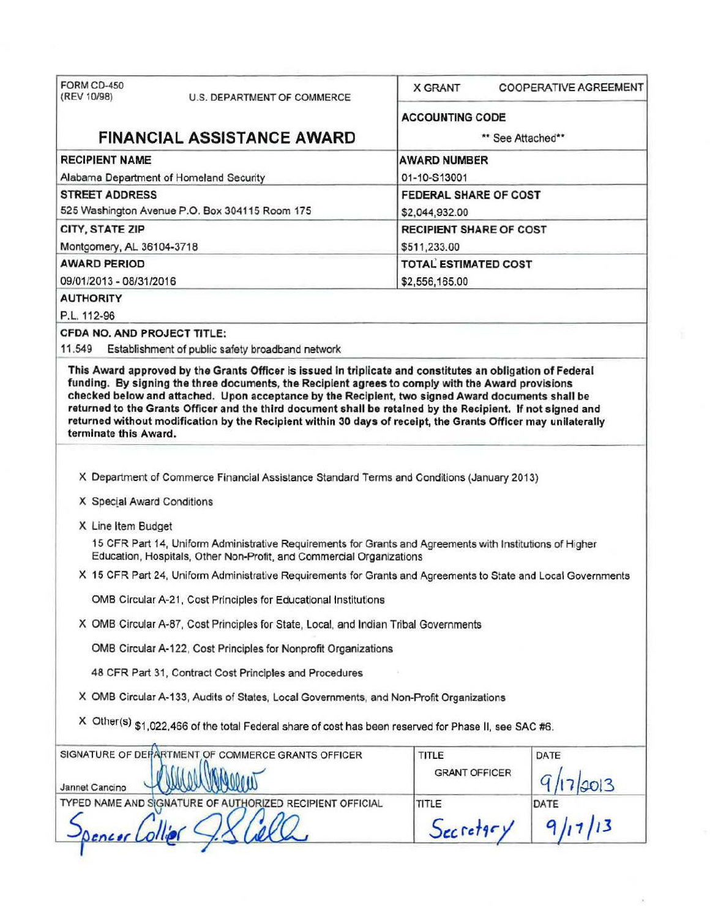| FORM CD-450<br>(REV 10/98)  | U.S. DEPARTMENT OF COMMERCE                                                                                                                                                       | <b>X GRANT</b>                 | <b>COOPERATIVE AGREEMENT</b> |  |
|-----------------------------|-----------------------------------------------------------------------------------------------------------------------------------------------------------------------------------|--------------------------------|------------------------------|--|
|                             |                                                                                                                                                                                   | <b>ACCOUNTING CODE</b>         |                              |  |
|                             | <b>FINANCIAL ASSISTANCE AWARD</b>                                                                                                                                                 | ** See Attached**              |                              |  |
| <b>RECIPIENT NAME</b>       |                                                                                                                                                                                   | <b>AWARD NUMBER</b>            |                              |  |
|                             | Alabama Department of Homeland Security                                                                                                                                           | 01-10-S13001                   |                              |  |
| <b>STREET ADDRESS</b>       |                                                                                                                                                                                   | FEDERAL SHARE OF COST          |                              |  |
|                             | 525 Washington Avenue P.O. Box 304115 Room 175                                                                                                                                    | \$2,044,932.00                 |                              |  |
| CITY, STATE ZIP             |                                                                                                                                                                                   | <b>RECIPIENT SHARE OF COST</b> |                              |  |
| Montgomery, AL 36104-3718   |                                                                                                                                                                                   | \$511,233.00                   |                              |  |
| <b>AWARD PERIOD</b>         |                                                                                                                                                                                   | <b>TOTAL ESTIMATED COST</b>    |                              |  |
| 09/01/2013 - 08/31/2016     |                                                                                                                                                                                   | \$2,556,165.00                 |                              |  |
| <b>AUTHORITY</b>            |                                                                                                                                                                                   |                                |                              |  |
| P.L. 112-96                 |                                                                                                                                                                                   |                                |                              |  |
| CFDA NO. AND PROJECT TITLE: |                                                                                                                                                                                   |                                |                              |  |
| 11.549                      | Establishment of public safety broadband network                                                                                                                                  |                                |                              |  |
| terminate this Award.       | returned without modification by the Recipient within 30 days of receipt, the Grants Officer may unilaterally                                                                     |                                |                              |  |
|                             |                                                                                                                                                                                   |                                |                              |  |
| X Special Award Conditions  | X Department of Commerce Financial Assistance Standard Terms and Conditions (January 2013)                                                                                        |                                |                              |  |
|                             |                                                                                                                                                                                   |                                |                              |  |
| X Line Item Budget          | 15 CFR Part 14, Uniform Administrative Requirements for Grants and Agreements with Institutions of Higher<br>Education, Hospitals, Other Non-Profit, and Commercial Organizations |                                |                              |  |
|                             | X 15 CFR Part 24, Uniform Administrative Requirements for Grants and Agreements to State and Local Governments                                                                    |                                |                              |  |
|                             | OMB Circular A-21, Cost Principles for Educational Institutions                                                                                                                   |                                |                              |  |
|                             | X OMB Circular A-87, Cost Principles for State, Local, and Indian Tribal Governments                                                                                              |                                |                              |  |
|                             | OMB Circular A-122, Cost Principles for Nonprofit Organizations                                                                                                                   |                                |                              |  |
|                             | 48 CFR Part 31, Contract Cost Principles and Procedures                                                                                                                           |                                |                              |  |
|                             | X OMB Circular A-133, Audits of States, Local Governments, and Non-Profit Organizations                                                                                           |                                |                              |  |
|                             | X Other(s) \$1,022,466 of the total Federal share of cost has been reserved for Phase II, see SAC #6.                                                                             |                                |                              |  |
|                             | SIGNATURE OF DEPARTMENT OF COMMERCE GRANTS OFFICER                                                                                                                                | TITLE                          | DATE                         |  |
|                             |                                                                                                                                                                                   | <b>GRANT OFFICER</b>           | 30 3                         |  |
| Jannet Cancino              | TYPED NAME AND SIGNATURE OF AUTHORIZED RECIPIENT OFFICIAL                                                                                                                         | TITLE                          | DATE                         |  |